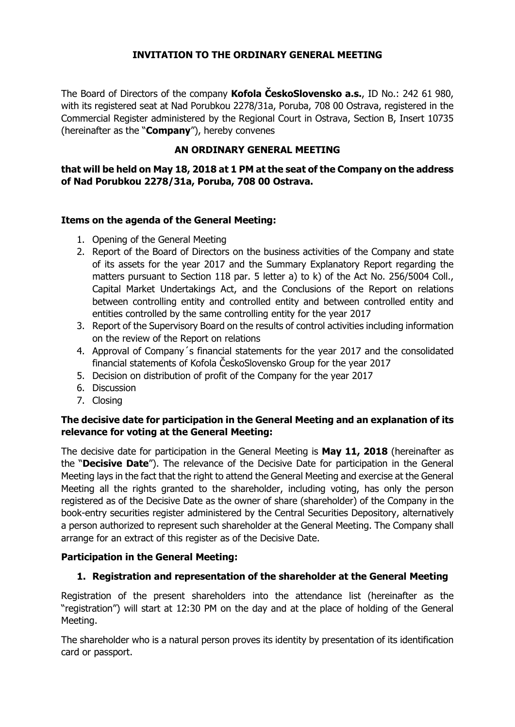## **INVITATION TO THE ORDINARY GENERAL MEETING**

The Board of Directors of the company **Kofola ČeskoSlovensko a.s.**, ID No.: 242 61 980, with its registered seat at Nad Porubkou 2278/31a, Poruba, 708 00 Ostrava, registered in the Commercial Register administered by the Regional Court in Ostrava, Section B, Insert 10735 (hereinafter as the "**Company**"), hereby convenes

## **AN ORDINARY GENERAL MEETING**

## **that will be held on May 18, 2018 at 1 PM at the seat of the Company on the address of Nad Porubkou 2278/31a, Poruba, 708 00 Ostrava.**

## **Items on the agenda of the General Meeting:**

- 1. Opening of the General Meeting
- 2. Report of the Board of Directors on the business activities of the Company and state of its assets for the year 2017 and the Summary Explanatory Report regarding the matters pursuant to Section 118 par. 5 letter a) to k) of the Act No. 256/5004 Coll., Capital Market Undertakings Act, and the Conclusions of the Report on relations between controlling entity and controlled entity and between controlled entity and entities controlled by the same controlling entity for the year 2017
- 3. Report of the Supervisory Board on the results of control activities including information on the review of the Report on relations
- 4. Approval of Company´s financial statements for the year 2017 and the consolidated financial statements of Kofola ČeskoSlovensko Group for the year 2017
- 5. Decision on distribution of profit of the Company for the year 2017
- 6. Discussion
- 7. Closing

## **The decisive date for participation in the General Meeting and an explanation of its relevance for voting at the General Meeting:**

The decisive date for participation in the General Meeting is **May 11, 2018** (hereinafter as the "**Decisive Date**"). The relevance of the Decisive Date for participation in the General Meeting lays in the fact that the right to attend the General Meeting and exercise at the General Meeting all the rights granted to the shareholder, including voting, has only the person registered as of the Decisive Date as the owner of share (shareholder) of the Company in the book-entry securities register administered by the Central Securities Depository, alternatively a person authorized to represent such shareholder at the General Meeting. The Company shall arrange for an extract of this register as of the Decisive Date.

## **Participation in the General Meeting:**

# **1. Registration and representation of the shareholder at the General Meeting**

Registration of the present shareholders into the attendance list (hereinafter as the "registration") will start at 12:30 PM on the day and at the place of holding of the General Meeting.

The shareholder who is a natural person proves its identity by presentation of its identification card or passport.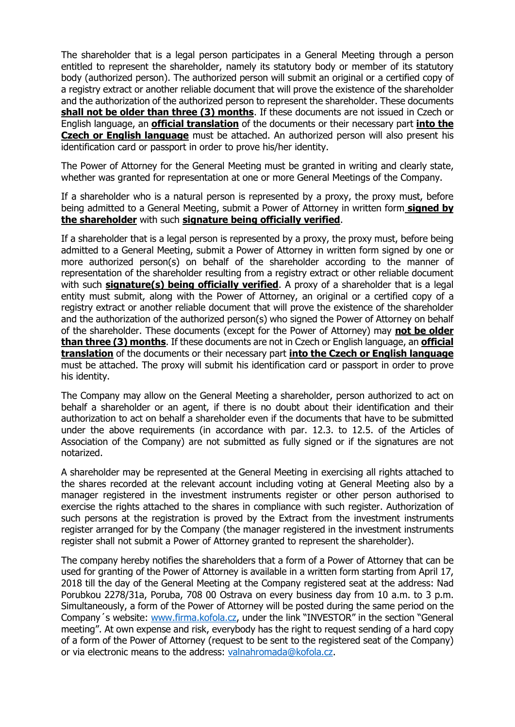The shareholder that is a legal person participates in a General Meeting through a person entitled to represent the shareholder, namely its statutory body or member of its statutory body (authorized person). The authorized person will submit an original or a certified copy of a registry extract or another reliable document that will prove the existence of the shareholder and the authorization of the authorized person to represent the shareholder. These documents **shall not be older than three (3) months**. If these documents are not issued in Czech or English language, an **official translation** of the documents or their necessary part **into the Czech or English language** must be attached. An authorized person will also present his identification card or passport in order to prove his/her identity.

The Power of Attorney for the General Meeting must be granted in writing and clearly state, whether was granted for representation at one or more General Meetings of the Company.

If a shareholder who is a natural person is represented by a proxy, the proxy must, before being admitted to a General Meeting, submit a Power of Attorney in written form **signed by the shareholder** with such **signature being officially verified**.

If a shareholder that is a legal person is represented by a proxy, the proxy must, before being admitted to a General Meeting, submit a Power of Attorney in written form signed by one or more authorized person(s) on behalf of the shareholder according to the manner of representation of the shareholder resulting from a registry extract or other reliable document with such **signature(s) being officially verified**. A proxy of a shareholder that is a legal entity must submit, along with the Power of Attorney, an original or a certified copy of a registry extract or another reliable document that will prove the existence of the shareholder and the authorization of the authorized person(s) who signed the Power of Attorney on behalf of the shareholder. These documents (except for the Power of Attorney) may **not be older than three (3) months**. If these documents are not in Czech or English language, an **official translation** of the documents or their necessary part **into the Czech or English language** must be attached. The proxy will submit his identification card or passport in order to prove his identity.

The Company may allow on the General Meeting a shareholder, person authorized to act on behalf a shareholder or an agent, if there is no doubt about their identification and their authorization to act on behalf a shareholder even if the documents that have to be submitted under the above requirements (in accordance with par. 12.3. to 12.5. of the Articles of Association of the Company) are not submitted as fully signed or if the signatures are not notarized.

A shareholder may be represented at the General Meeting in exercising all rights attached to the shares recorded at the relevant account including voting at General Meeting also by a manager registered in the investment instruments register or other person authorised to exercise the rights attached to the shares in compliance with such register. Authorization of such persons at the registration is proved by the Extract from the investment instruments register arranged for by the Company (the manager registered in the investment instruments register shall not submit a Power of Attorney granted to represent the shareholder).

The company hereby notifies the shareholders that a form of a Power of Attorney that can be used for granting of the Power of Attorney is available in a written form starting from April 17, 2018 till the day of the General Meeting at the Company registered seat at the address: Nad Porubkou 2278/31a, Poruba, 708 00 Ostrava on every business day from 10 a.m. to 3 p.m. Simultaneously, a form of the Power of Attorney will be posted during the same period on the Company´s website: [www.firma.kofola.cz,](http://www.firma.kofola.cz/) under the link "INVESTOR" in the section "General meeting". At own expense and risk, everybody has the right to request sending of a hard copy of a form of the Power of Attorney (request to be sent to the registered seat of the Company) or via electronic means to the address: [valnahromada@kofola.cz.](mailto:valnahromada@kofola.cz)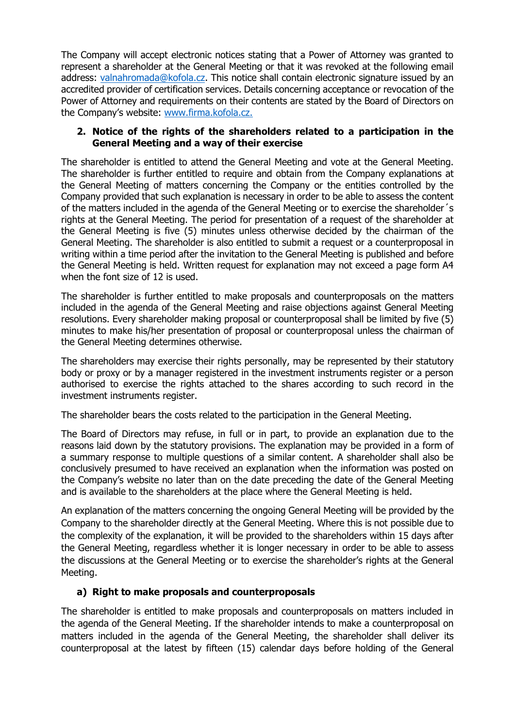The Company will accept electronic notices stating that a Power of Attorney was granted to represent a shareholder at the General Meeting or that it was revoked at the following email address: [valnahromada@kofola.cz.](mailto:valnahromada@kofola.cz) This notice shall contain electronic signature issued by an accredited provider of certification services. Details concerning acceptance or revocation of the Power of Attorney and requirements on their contents are stated by the Board of Directors on the Company's website: [www.firma.kofola.cz.](http://www.firma.kofola.cz/)

### **2. Notice of the rights of the shareholders related to a participation in the General Meeting and a way of their exercise**

The shareholder is entitled to attend the General Meeting and vote at the General Meeting. The shareholder is further entitled to require and obtain from the Company explanations at the General Meeting of matters concerning the Company or the entities controlled by the Company provided that such explanation is necessary in order to be able to assess the content of the matters included in the agenda of the General Meeting or to exercise the shareholder´s rights at the General Meeting. The period for presentation of a request of the shareholder at the General Meeting is five (5) minutes unless otherwise decided by the chairman of the General Meeting. The shareholder is also entitled to submit a request or a counterproposal in writing within a time period after the invitation to the General Meeting is published and before the General Meeting is held. Written request for explanation may not exceed a page form A4 when the font size of 12 is used.

The shareholder is further entitled to make proposals and counterproposals on the matters included in the agenda of the General Meeting and raise objections against General Meeting resolutions. Every shareholder making proposal or counterproposal shall be limited by five (5) minutes to make his/her presentation of proposal or counterproposal unless the chairman of the General Meeting determines otherwise.

The shareholders may exercise their rights personally, may be represented by their statutory body or proxy or by a manager registered in the investment instruments register or a person authorised to exercise the rights attached to the shares according to such record in the investment instruments register.

The shareholder bears the costs related to the participation in the General Meeting.

The Board of Directors may refuse, in full or in part, to provide an explanation due to the reasons laid down by the statutory provisions. The explanation may be provided in a form of a summary response to multiple questions of a similar content. A shareholder shall also be conclusively presumed to have received an explanation when the information was posted on the Company's website no later than on the date preceding the date of the General Meeting and is available to the shareholders at the place where the General Meeting is held.

An explanation of the matters concerning the ongoing General Meeting will be provided by the Company to the shareholder directly at the General Meeting. Where this is not possible due to the complexity of the explanation, it will be provided to the shareholders within 15 days after the General Meeting, regardless whether it is longer necessary in order to be able to assess the discussions at the General Meeting or to exercise the shareholder's rights at the General Meeting.

## **a) Right to make proposals and counterproposals**

The shareholder is entitled to make proposals and counterproposals on matters included in the agenda of the General Meeting. If the shareholder intends to make a counterproposal on matters included in the agenda of the General Meeting, the shareholder shall deliver its counterproposal at the latest by fifteen (15) calendar days before holding of the General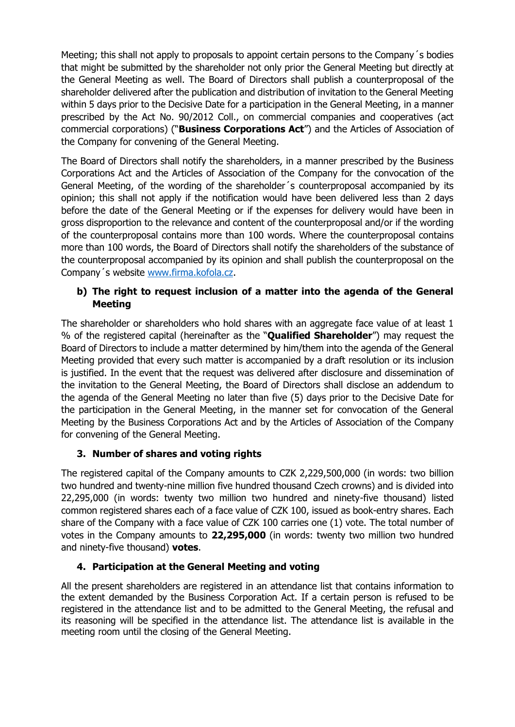Meeting; this shall not apply to proposals to appoint certain persons to the Company´s bodies that might be submitted by the shareholder not only prior the General Meeting but directly at the General Meeting as well. The Board of Directors shall publish a counterproposal of the shareholder delivered after the publication and distribution of invitation to the General Meeting within 5 days prior to the Decisive Date for a participation in the General Meeting, in a manner prescribed by the Act No. 90/2012 Coll., on commercial companies and cooperatives (act commercial corporations) ("**Business Corporations Act**") and the Articles of Association of the Company for convening of the General Meeting.

The Board of Directors shall notify the shareholders, in a manner prescribed by the Business Corporations Act and the Articles of Association of the Company for the convocation of the General Meeting, of the wording of the shareholder´s counterproposal accompanied by its opinion; this shall not apply if the notification would have been delivered less than 2 days before the date of the General Meeting or if the expenses for delivery would have been in gross disproportion to the relevance and content of the counterproposal and/or if the wording of the counterproposal contains more than 100 words. Where the counterproposal contains more than 100 words, the Board of Directors shall notify the shareholders of the substance of the counterproposal accompanied by its opinion and shall publish the counterproposal on the Company´s website [www.firma.kofola.cz.](http://www.firma.kofola.cz/)

## **b) The right to request inclusion of a matter into the agenda of the General Meeting**

The shareholder or shareholders who hold shares with an aggregate face value of at least 1 % of the registered capital (hereinafter as the "**Qualified Shareholder**") may request the Board of Directors to include a matter determined by him/them into the agenda of the General Meeting provided that every such matter is accompanied by a draft resolution or its inclusion is justified. In the event that the request was delivered after disclosure and dissemination of the invitation to the General Meeting, the Board of Directors shall disclose an addendum to the agenda of the General Meeting no later than five (5) days prior to the Decisive Date for the participation in the General Meeting, in the manner set for convocation of the General Meeting by the Business Corporations Act and by the Articles of Association of the Company for convening of the General Meeting.

# **3. Number of shares and voting rights**

The registered capital of the Company amounts to CZK 2,229,500,000 (in words: two billion two hundred and twenty-nine million five hundred thousand Czech crowns) and is divided into 22,295,000 (in words: twenty two million two hundred and ninety-five thousand) listed common registered shares each of a face value of CZK 100, issued as book-entry shares. Each share of the Company with a face value of CZK 100 carries one (1) vote. The total number of votes in the Company amounts to **22,295,000** (in words: twenty two million two hundred and ninety-five thousand) **votes**.

# **4. Participation at the General Meeting and voting**

All the present shareholders are registered in an attendance list that contains information to the extent demanded by the Business Corporation Act. If a certain person is refused to be registered in the attendance list and to be admitted to the General Meeting, the refusal and its reasoning will be specified in the attendance list. The attendance list is available in the meeting room until the closing of the General Meeting.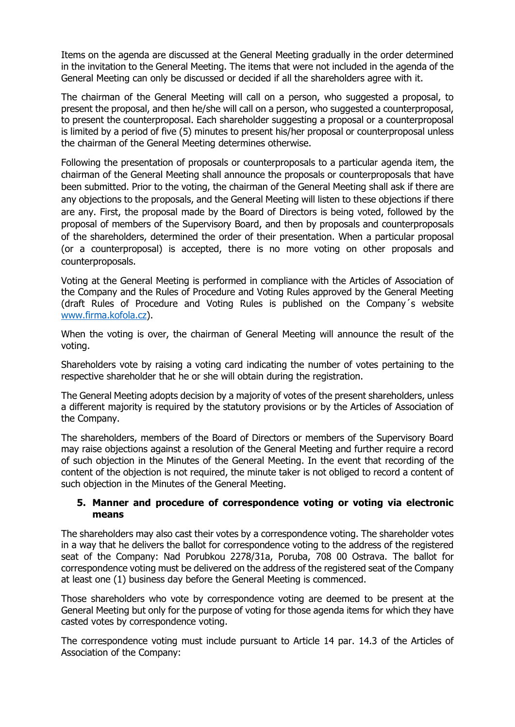Items on the agenda are discussed at the General Meeting gradually in the order determined in the invitation to the General Meeting. The items that were not included in the agenda of the General Meeting can only be discussed or decided if all the shareholders agree with it.

The chairman of the General Meeting will call on a person, who suggested a proposal, to present the proposal, and then he/she will call on a person, who suggested a counterproposal, to present the counterproposal. Each shareholder suggesting a proposal or a counterproposal is limited by a period of five (5) minutes to present his/her proposal or counterproposal unless the chairman of the General Meeting determines otherwise.

Following the presentation of proposals or counterproposals to a particular agenda item, the chairman of the General Meeting shall announce the proposals or counterproposals that have been submitted. Prior to the voting, the chairman of the General Meeting shall ask if there are any objections to the proposals, and the General Meeting will listen to these objections if there are any. First, the proposal made by the Board of Directors is being voted, followed by the proposal of members of the Supervisory Board, and then by proposals and counterproposals of the shareholders, determined the order of their presentation. When a particular proposal (or a counterproposal) is accepted, there is no more voting on other proposals and counterproposals.

Voting at the General Meeting is performed in compliance with the Articles of Association of the Company and the Rules of Procedure and Voting Rules approved by the General Meeting (draft Rules of Procedure and Voting Rules is published on the Company´s website [www.firma.kofola.cz\)](http://www.firma.kofola.cz/).

When the voting is over, the chairman of General Meeting will announce the result of the voting.

Shareholders vote by raising a voting card indicating the number of votes pertaining to the respective shareholder that he or she will obtain during the registration.

The General Meeting adopts decision by a majority of votes of the present shareholders, unless a different majority is required by the statutory provisions or by the Articles of Association of the Company.

The shareholders, members of the Board of Directors or members of the Supervisory Board may raise objections against a resolution of the General Meeting and further require a record of such objection in the Minutes of the General Meeting. In the event that recording of the content of the objection is not required, the minute taker is not obliged to record a content of such objection in the Minutes of the General Meeting.

### **5. Manner and procedure of correspondence voting or voting via electronic means**

The shareholders may also cast their votes by a correspondence voting. The shareholder votes in a way that he delivers the ballot for correspondence voting to the address of the registered seat of the Company: Nad Porubkou 2278/31a, Poruba, 708 00 Ostrava. The ballot for correspondence voting must be delivered on the address of the registered seat of the Company at least one (1) business day before the General Meeting is commenced.

Those shareholders who vote by correspondence voting are deemed to be present at the General Meeting but only for the purpose of voting for those agenda items for which they have casted votes by correspondence voting.

The correspondence voting must include pursuant to Article 14 par. 14.3 of the Articles of Association of the Company: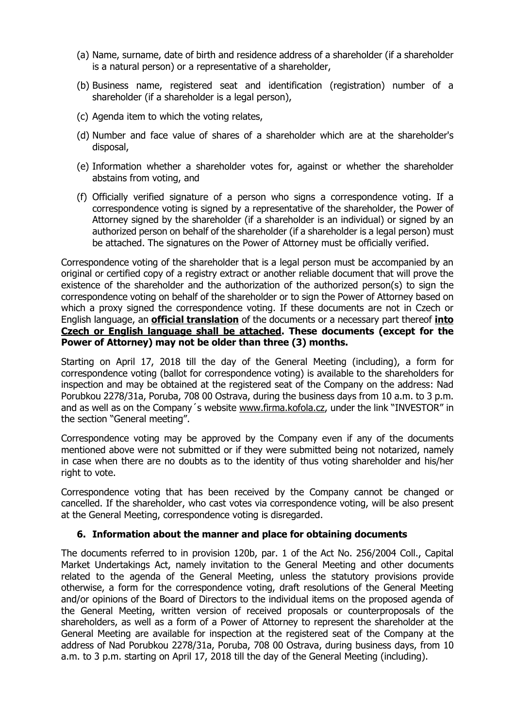- (a) Name, surname, date of birth and residence address of a shareholder (if a shareholder is a natural person) or a representative of a shareholder,
- (b) Business name, registered seat and identification (registration) number of a shareholder (if a shareholder is a legal person),
- (c) Agenda item to which the voting relates,
- (d) Number and face value of shares of a shareholder which are at the shareholder's disposal,
- (e) Information whether a shareholder votes for, against or whether the shareholder abstains from voting, and
- (f) Officially verified signature of a person who signs a correspondence voting. If a correspondence voting is signed by a representative of the shareholder, the Power of Attorney signed by the shareholder (if a shareholder is an individual) or signed by an authorized person on behalf of the shareholder (if a shareholder is a legal person) must be attached. The signatures on the Power of Attorney must be officially verified.

Correspondence voting of the shareholder that is a legal person must be accompanied by an original or certified copy of a registry extract or another reliable document that will prove the existence of the shareholder and the authorization of the authorized person(s) to sign the correspondence voting on behalf of the shareholder or to sign the Power of Attorney based on which a proxy signed the correspondence voting. If these documents are not in Czech or English language, an **official translation** of the documents or a necessary part thereof **into Czech or English language shall be attached. These documents (except for the Power of Attorney) may not be older than three (3) months.**

Starting on April 17, 2018 till the day of the General Meeting (including), a form for correspondence voting (ballot for correspondence voting) is available to the shareholders for inspection and may be obtained at the registered seat of the Company on the address: Nad Porubkou 2278/31a, Poruba, 708 00 Ostrava, during the business days from 10 a.m. to 3 p.m. and as well as on the Company's website [www.firma.kofola.cz](http://www.firma.kofola.cz/), under the link "INVESTOR" in the section "General meeting".

Correspondence voting may be approved by the Company even if any of the documents mentioned above were not submitted or if they were submitted being not notarized, namely in case when there are no doubts as to the identity of thus voting shareholder and his/her right to vote.

Correspondence voting that has been received by the Company cannot be changed or cancelled. If the shareholder, who cast votes via correspondence voting, will be also present at the General Meeting, correspondence voting is disregarded.

## **6. Information about the manner and place for obtaining documents**

The documents referred to in provision 120b, par. 1 of the Act No. 256/2004 Coll., Capital Market Undertakings Act, namely invitation to the General Meeting and other documents related to the agenda of the General Meeting, unless the statutory provisions provide otherwise, a form for the correspondence voting, draft resolutions of the General Meeting and/or opinions of the Board of Directors to the individual items on the proposed agenda of the General Meeting, written version of received proposals or counterproposals of the shareholders, as well as a form of a Power of Attorney to represent the shareholder at the General Meeting are available for inspection at the registered seat of the Company at the address of Nad Porubkou 2278/31a, Poruba, 708 00 Ostrava, during business days, from 10 a.m. to 3 p.m. starting on April 17, 2018 till the day of the General Meeting (including).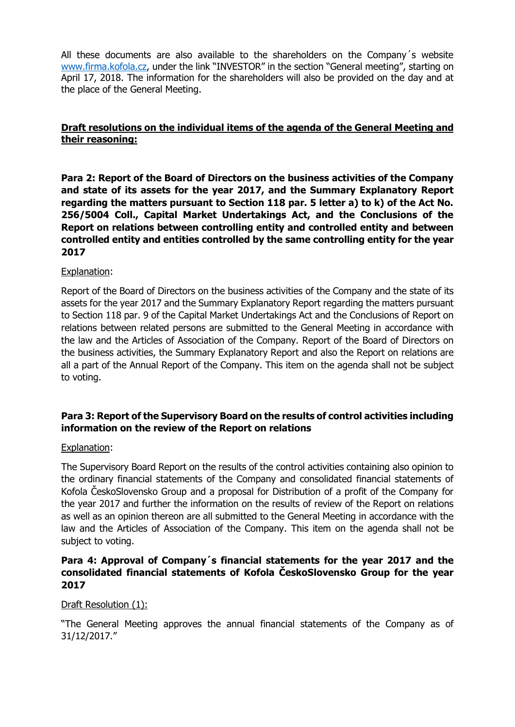All these documents are also available to the shareholders on the Company´s website [www.firma.kofola.cz,](http://www.firma.kofola.cz/) under the link "INVESTOR" in the section "General meeting", starting on April 17, 2018. The information for the shareholders will also be provided on the day and at the place of the General Meeting.

## **Draft resolutions on the individual items of the agenda of the General Meeting and their reasoning:**

**Para 2: Report of the Board of Directors on the business activities of the Company and state of its assets for the year 2017, and the Summary Explanatory Report regarding the matters pursuant to Section 118 par. 5 letter a) to k) of the Act No. 256/5004 Coll., Capital Market Undertakings Act, and the Conclusions of the Report on relations between controlling entity and controlled entity and between controlled entity and entities controlled by the same controlling entity for the year 2017**

## Explanation:

Report of the Board of Directors on the business activities of the Company and the state of its assets for the year 2017 and the Summary Explanatory Report regarding the matters pursuant to Section 118 par. 9 of the Capital Market Undertakings Act and the Conclusions of Report on relations between related persons are submitted to the General Meeting in accordance with the law and the Articles of Association of the Company. Report of the Board of Directors on the business activities, the Summary Explanatory Report and also the Report on relations are all a part of the Annual Report of the Company. This item on the agenda shall not be subject to voting.

## **Para 3: Report of the Supervisory Board on the results of control activities including information on the review of the Report on relations**

#### Explanation:

The Supervisory Board Report on the results of the control activities containing also opinion to the ordinary financial statements of the Company and consolidated financial statements of Kofola ČeskoSlovensko Group and a proposal for Distribution of a profit of the Company for the year 2017 and further the information on the results of review of the Report on relations as well as an opinion thereon are all submitted to the General Meeting in accordance with the law and the Articles of Association of the Company. This item on the agenda shall not be subject to voting.

## **Para 4: Approval of Company´s financial statements for the year 2017 and the consolidated financial statements of Kofola ČeskoSlovensko Group for the year 2017**

## Draft Resolution (1):

"The General Meeting approves the annual financial statements of the Company as of 31/12/2017."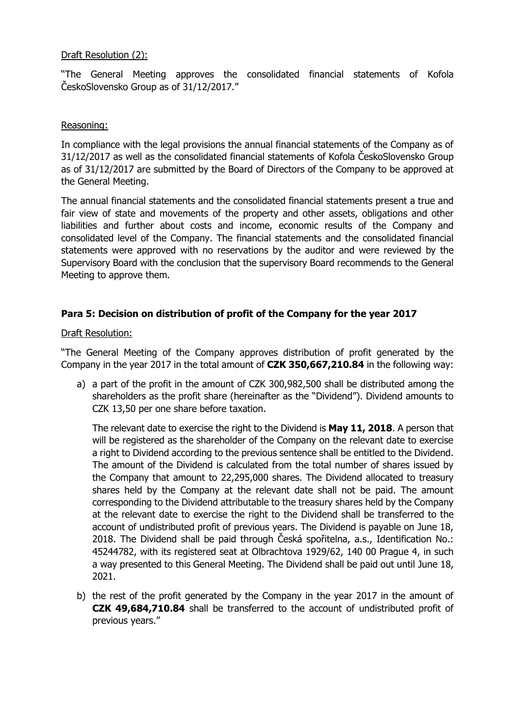### Draft Resolution (2):

"The General Meeting approves the consolidated financial statements of Kofola ČeskoSlovensko Group as of 31/12/2017."

#### Reasoning:

In compliance with the legal provisions the annual financial statements of the Company as of 31/12/2017 as well as the consolidated financial statements of Kofola ČeskoSlovensko Group as of 31/12/2017 are submitted by the Board of Directors of the Company to be approved at the General Meeting.

The annual financial statements and the consolidated financial statements present a true and fair view of state and movements of the property and other assets, obligations and other liabilities and further about costs and income, economic results of the Company and consolidated level of the Company. The financial statements and the consolidated financial statements were approved with no reservations by the auditor and were reviewed by the Supervisory Board with the conclusion that the supervisory Board recommends to the General Meeting to approve them.

## **Para 5: Decision on distribution of profit of the Company for the year 2017**

### Draft Resolution:

"The General Meeting of the Company approves distribution of profit generated by the Company in the year 2017 in the total amount of **CZK 350,667,210.84** in the following way:

a) a part of the profit in the amount of CZK 300,982,500 shall be distributed among the shareholders as the profit share (hereinafter as the "Dividend"). Dividend amounts to CZK 13,50 per one share before taxation.

The relevant date to exercise the right to the Dividend is **May 11, 2018**. A person that will be registered as the shareholder of the Company on the relevant date to exercise a right to Dividend according to the previous sentence shall be entitled to the Dividend. The amount of the Dividend is calculated from the total number of shares issued by the Company that amount to 22,295,000 shares. The Dividend allocated to treasury shares held by the Company at the relevant date shall not be paid. The amount corresponding to the Dividend attributable to the treasury shares held by the Company at the relevant date to exercise the right to the Dividend shall be transferred to the account of undistributed profit of previous years. The Dividend is payable on June 18, 2018. The Dividend shall be paid through Česká spořitelna, a.s., Identification No.: 45244782, with its registered seat at Olbrachtova 1929/62, 140 00 Prague 4, in such a way presented to this General Meeting. The Dividend shall be paid out until June 18, 2021.

b) the rest of the profit generated by the Company in the year 2017 in the amount of **CZK 49,684,710.84** shall be transferred to the account of undistributed profit of previous years."